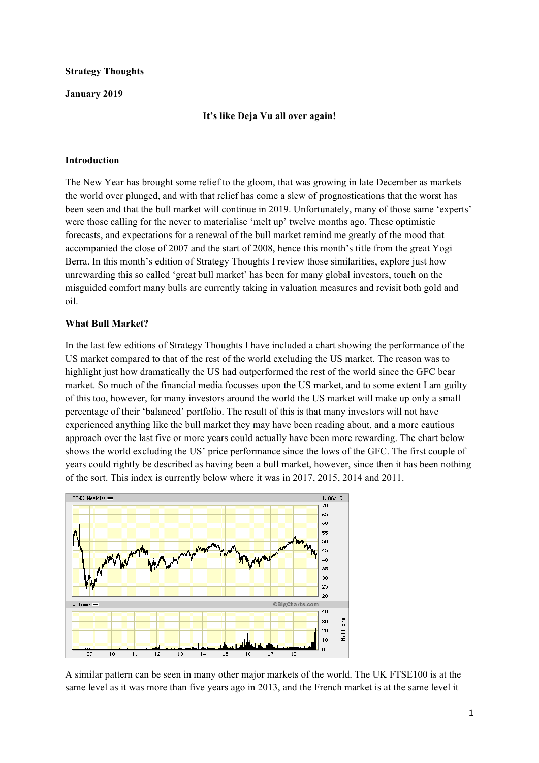### **Strategy Thoughts**

### **January 2019**

### **It's like Deja Vu all over again!**

### **Introduction**

The New Year has brought some relief to the gloom, that was growing in late December as markets the world over plunged, and with that relief has come a slew of prognostications that the worst has been seen and that the bull market will continue in 2019. Unfortunately, many of those same 'experts' were those calling for the never to materialise 'melt up' twelve months ago. These optimistic forecasts, and expectations for a renewal of the bull market remind me greatly of the mood that accompanied the close of 2007 and the start of 2008, hence this month's title from the great Yogi Berra. In this month's edition of Strategy Thoughts I review those similarities, explore just how unrewarding this so called 'great bull market' has been for many global investors, touch on the misguided comfort many bulls are currently taking in valuation measures and revisit both gold and oil.

### **What Bull Market?**

In the last few editions of Strategy Thoughts I have included a chart showing the performance of the US market compared to that of the rest of the world excluding the US market. The reason was to highlight just how dramatically the US had outperformed the rest of the world since the GFC bear market. So much of the financial media focusses upon the US market, and to some extent I am guilty of this too, however, for many investors around the world the US market will make up only a small percentage of their 'balanced' portfolio. The result of this is that many investors will not have experienced anything like the bull market they may have been reading about, and a more cautious approach over the last five or more years could actually have been more rewarding. The chart below shows the world excluding the US' price performance since the lows of the GFC. The first couple of years could rightly be described as having been a bull market, however, since then it has been nothing of the sort. This index is currently below where it was in 2017, 2015, 2014 and 2011.



A similar pattern can be seen in many other major markets of the world. The UK FTSE100 is at the same level as it was more than five years ago in 2013, and the French market is at the same level it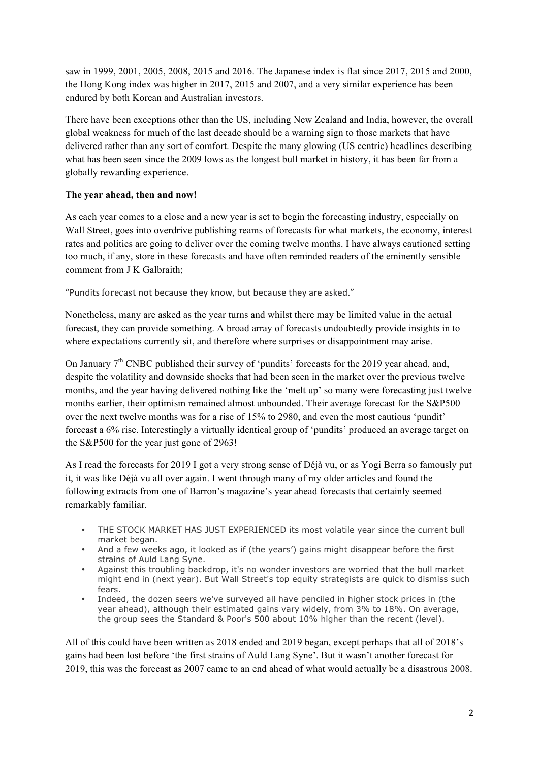saw in 1999, 2001, 2005, 2008, 2015 and 2016. The Japanese index is flat since 2017, 2015 and 2000, the Hong Kong index was higher in 2017, 2015 and 2007, and a very similar experience has been endured by both Korean and Australian investors.

There have been exceptions other than the US, including New Zealand and India, however, the overall global weakness for much of the last decade should be a warning sign to those markets that have delivered rather than any sort of comfort. Despite the many glowing (US centric) headlines describing what has been seen since the 2009 lows as the longest bull market in history, it has been far from a globally rewarding experience.

### **The year ahead, then and now!**

As each year comes to a close and a new year is set to begin the forecasting industry, especially on Wall Street, goes into overdrive publishing reams of forecasts for what markets, the economy, interest rates and politics are going to deliver over the coming twelve months. I have always cautioned setting too much, if any, store in these forecasts and have often reminded readers of the eminently sensible comment from J K Galbraith;

"Pundits forecast not because they know, but because they are asked."

Nonetheless, many are asked as the year turns and whilst there may be limited value in the actual forecast, they can provide something. A broad array of forecasts undoubtedly provide insights in to where expectations currently sit, and therefore where surprises or disappointment may arise.

On January  $7<sup>th</sup>$  CNBC published their survey of 'pundits' forecasts for the 2019 year ahead, and, despite the volatility and downside shocks that had been seen in the market over the previous twelve months, and the year having delivered nothing like the 'melt up' so many were forecasting just twelve months earlier, their optimism remained almost unbounded. Their average forecast for the S&P500 over the next twelve months was for a rise of 15% to 2980, and even the most cautious 'pundit' forecast a 6% rise. Interestingly a virtually identical group of 'pundits' produced an average target on the S&P500 for the year just gone of 2963!

As I read the forecasts for 2019 I got a very strong sense of Déjà vu, or as Yogi Berra so famously put it, it was like Déjà vu all over again. I went through many of my older articles and found the following extracts from one of Barron's magazine's year ahead forecasts that certainly seemed remarkably familiar.

- THE STOCK MARKET HAS JUST EXPERIENCED its most volatile year since the current bull market began.
- And a few weeks ago, it looked as if (the years') gains might disappear before the first strains of Auld Lang Syne.
- Against this troubling backdrop, it's no wonder investors are worried that the bull market might end in (next year). But Wall Street's top equity strategists are quick to dismiss such fears.
- Indeed, the dozen seers we've surveyed all have penciled in higher stock prices in (the year ahead), although their estimated gains vary widely, from 3% to 18%. On average, the group sees the Standard & Poor's 500 about 10% higher than the recent (level).

All of this could have been written as 2018 ended and 2019 began, except perhaps that all of 2018's gains had been lost before 'the first strains of Auld Lang Syne'. But it wasn't another forecast for 2019, this was the forecast as 2007 came to an end ahead of what would actually be a disastrous 2008.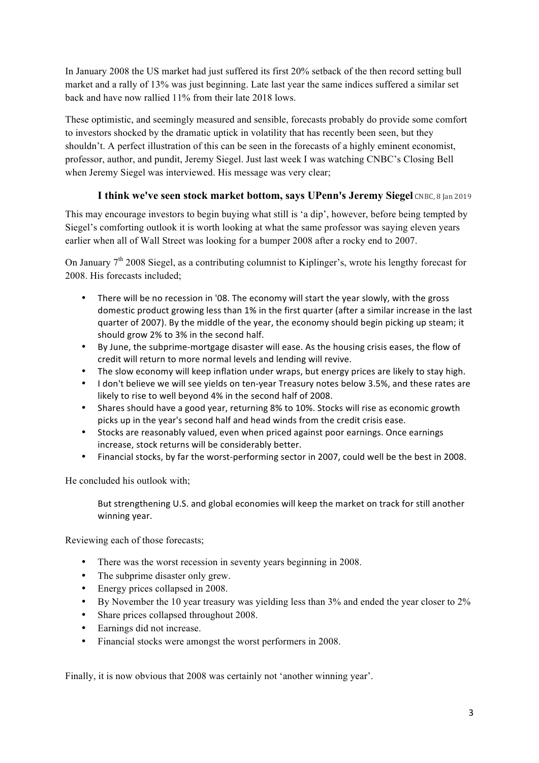In January 2008 the US market had just suffered its first 20% setback of the then record setting bull market and a rally of 13% was just beginning. Late last year the same indices suffered a similar set back and have now rallied 11% from their late 2018 lows.

These optimistic, and seemingly measured and sensible, forecasts probably do provide some comfort to investors shocked by the dramatic uptick in volatility that has recently been seen, but they shouldn't. A perfect illustration of this can be seen in the forecasts of a highly eminent economist, professor, author, and pundit, Jeremy Siegel. Just last week I was watching CNBC's Closing Bell when Jeremy Siegel was interviewed. His message was very clear;

# **I think we've seen stock market bottom, says UPenn's Jeremy Siegel CNBC, 8 Jan 2019**

This may encourage investors to begin buying what still is 'a dip', however, before being tempted by Siegel's comforting outlook it is worth looking at what the same professor was saying eleven years earlier when all of Wall Street was looking for a bumper 2008 after a rocky end to 2007.

On January  $7<sup>th</sup>$  2008 Siegel, as a contributing columnist to Kiplinger's, wrote his lengthy forecast for 2008. His forecasts included;

- There will be no recession in '08. The economy will start the year slowly, with the gross domestic product growing less than 1% in the first quarter (after a similar increase in the last guarter of 2007). By the middle of the year, the economy should begin picking up steam; it should grow 2% to 3% in the second half.
- By June, the subprime-mortgage disaster will ease. As the housing crisis eases, the flow of credit will return to more normal levels and lending will revive.
- The slow economy will keep inflation under wraps, but energy prices are likely to stay high.
- I don't believe we will see yields on ten-year Treasury notes below 3.5%, and these rates are likely to rise to well beyond 4% in the second half of 2008.
- Shares should have a good year, returning 8% to 10%. Stocks will rise as economic growth picks up in the year's second half and head winds from the credit crisis ease.
- Stocks are reasonably valued, even when priced against poor earnings. Once earnings increase, stock returns will be considerably better.
- Financial stocks, by far the worst-performing sector in 2007, could well be the best in 2008.

He concluded his outlook with;

But strengthening U.S. and global economies will keep the market on track for still another winning year.

Reviewing each of those forecasts;

- There was the worst recession in seventy years beginning in 2008.
- The subprime disaster only grew.
- Energy prices collapsed in 2008.
- By November the 10 year treasury was yielding less than 3% and ended the year closer to 2%
- Share prices collapsed throughout 2008.
- Earnings did not increase.
- Financial stocks were amongst the worst performers in 2008.

Finally, it is now obvious that 2008 was certainly not 'another winning year'.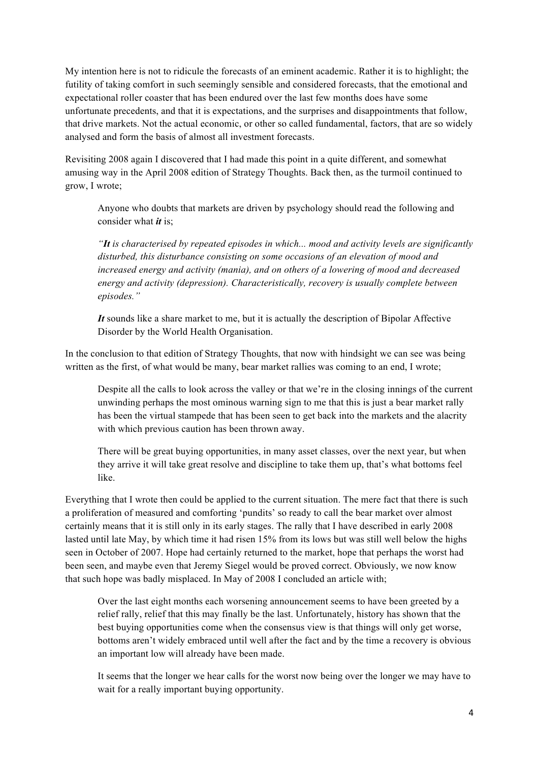My intention here is not to ridicule the forecasts of an eminent academic. Rather it is to highlight; the futility of taking comfort in such seemingly sensible and considered forecasts, that the emotional and expectational roller coaster that has been endured over the last few months does have some unfortunate precedents, and that it is expectations, and the surprises and disappointments that follow, that drive markets. Not the actual economic, or other so called fundamental, factors, that are so widely analysed and form the basis of almost all investment forecasts.

Revisiting 2008 again I discovered that I had made this point in a quite different, and somewhat amusing way in the April 2008 edition of Strategy Thoughts. Back then, as the turmoil continued to grow, I wrote;

Anyone who doubts that markets are driven by psychology should read the following and consider what *it* is;

*"It is characterised by repeated episodes in which... mood and activity levels are significantly disturbed, this disturbance consisting on some occasions of an elevation of mood and increased energy and activity (mania), and on others of a lowering of mood and decreased energy and activity (depression). Characteristically, recovery is usually complete between episodes."*

*It* sounds like a share market to me, but it is actually the description of Bipolar Affective Disorder by the World Health Organisation.

In the conclusion to that edition of Strategy Thoughts, that now with hindsight we can see was being written as the first, of what would be many, bear market rallies was coming to an end, I wrote;

Despite all the calls to look across the valley or that we're in the closing innings of the current unwinding perhaps the most ominous warning sign to me that this is just a bear market rally has been the virtual stampede that has been seen to get back into the markets and the alacrity with which previous caution has been thrown away.

There will be great buying opportunities, in many asset classes, over the next year, but when they arrive it will take great resolve and discipline to take them up, that's what bottoms feel like.

Everything that I wrote then could be applied to the current situation. The mere fact that there is such a proliferation of measured and comforting 'pundits' so ready to call the bear market over almost certainly means that it is still only in its early stages. The rally that I have described in early 2008 lasted until late May, by which time it had risen 15% from its lows but was still well below the highs seen in October of 2007. Hope had certainly returned to the market, hope that perhaps the worst had been seen, and maybe even that Jeremy Siegel would be proved correct. Obviously, we now know that such hope was badly misplaced. In May of 2008 I concluded an article with;

Over the last eight months each worsening announcement seems to have been greeted by a relief rally, relief that this may finally be the last. Unfortunately, history has shown that the best buying opportunities come when the consensus view is that things will only get worse, bottoms aren't widely embraced until well after the fact and by the time a recovery is obvious an important low will already have been made.

It seems that the longer we hear calls for the worst now being over the longer we may have to wait for a really important buying opportunity.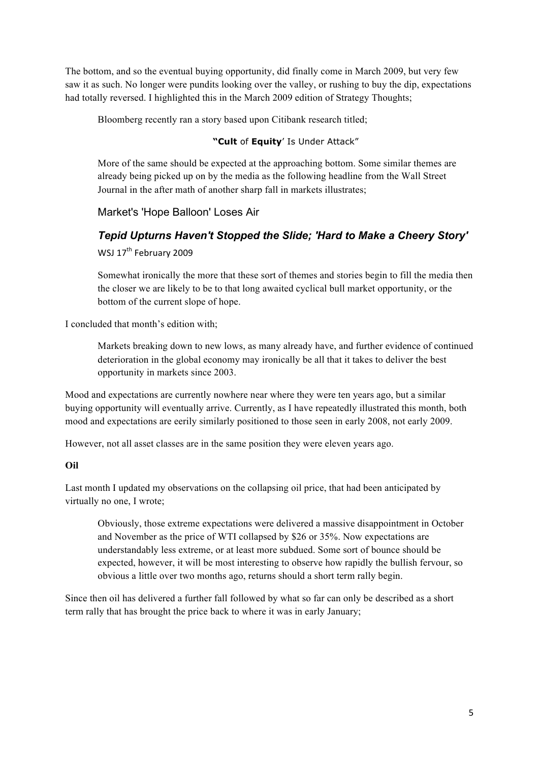The bottom, and so the eventual buying opportunity, did finally come in March 2009, but very few saw it as such. No longer were pundits looking over the valley, or rushing to buy the dip, expectations had totally reversed. I highlighted this in the March 2009 edition of Strategy Thoughts;

Bloomberg recently ran a story based upon Citibank research titled;

### **"Cult** of **Equity**' Is Under Attack"

More of the same should be expected at the approaching bottom. Some similar themes are already being picked up on by the media as the following headline from the Wall Street Journal in the after math of another sharp fall in markets illustrates;

# Market's 'Hope Balloon' Loses Air

# *Tepid Upturns Haven't Stopped the Slide; 'Hard to Make a Cheery Story'* WSJ 17<sup>th</sup> February 2009

Somewhat ironically the more that these sort of themes and stories begin to fill the media then the closer we are likely to be to that long awaited cyclical bull market opportunity, or the bottom of the current slope of hope.

I concluded that month's edition with;

Markets breaking down to new lows, as many already have, and further evidence of continued deterioration in the global economy may ironically be all that it takes to deliver the best opportunity in markets since 2003.

Mood and expectations are currently nowhere near where they were ten years ago, but a similar buying opportunity will eventually arrive. Currently, as I have repeatedly illustrated this month, both mood and expectations are eerily similarly positioned to those seen in early 2008, not early 2009.

However, not all asset classes are in the same position they were eleven years ago.

### **Oil**

Last month I updated my observations on the collapsing oil price, that had been anticipated by virtually no one, I wrote;

Obviously, those extreme expectations were delivered a massive disappointment in October and November as the price of WTI collapsed by \$26 or 35%. Now expectations are understandably less extreme, or at least more subdued. Some sort of bounce should be expected, however, it will be most interesting to observe how rapidly the bullish fervour, so obvious a little over two months ago, returns should a short term rally begin.

Since then oil has delivered a further fall followed by what so far can only be described as a short term rally that has brought the price back to where it was in early January;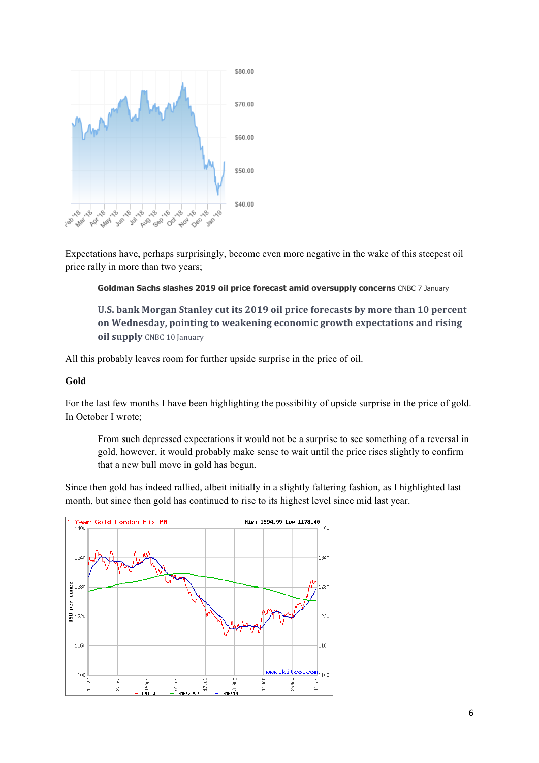

Expectations have, perhaps surprisingly, become even more negative in the wake of this steepest oil price rally in more than two years;

### **Goldman Sachs slashes 2019 oil price forecast amid oversupply concerns** CNBC 7 January

U.S. bank Morgan Stanley cut its 2019 oil price forecasts by more than 10 percent on Wednesday, pointing to weakening economic growth expectations and rising **oil supply** CNBC 10 January

All this probably leaves room for further upside surprise in the price of oil.

### **Gold**

For the last few months I have been highlighting the possibility of upside surprise in the price of gold. In October I wrote;

From such depressed expectations it would not be a surprise to see something of a reversal in gold, however, it would probably make sense to wait until the price rises slightly to confirm that a new bull move in gold has begun.

Since then gold has indeed rallied, albeit initially in a slightly faltering fashion, as I highlighted last month, but since then gold has continued to rise to its highest level since mid last year.

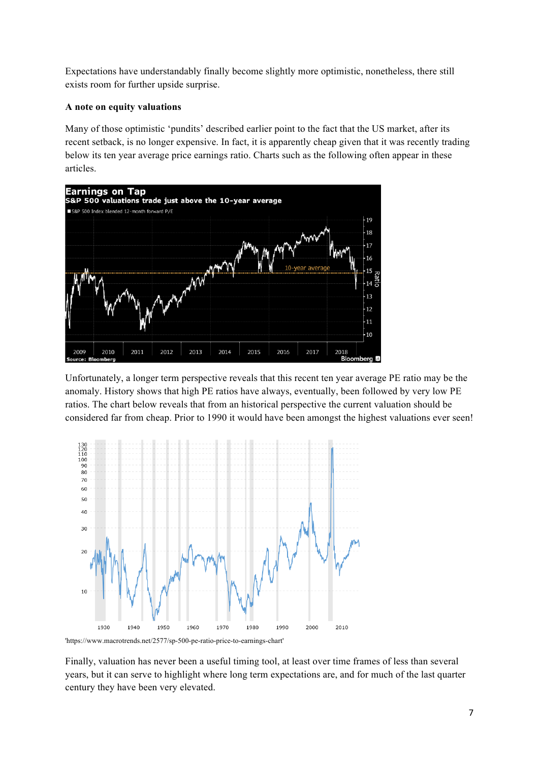Expectations have understandably finally become slightly more optimistic, nonetheless, there still exists room for further upside surprise.

### **A note on equity valuations**

Many of those optimistic 'pundits' described earlier point to the fact that the US market, after its recent setback, is no longer expensive. In fact, it is apparently cheap given that it was recently trading below its ten year average price earnings ratio. Charts such as the following often appear in these articles.



Unfortunately, a longer term perspective reveals that this recent ten year average PE ratio may be the anomaly. History shows that high PE ratios have always, eventually, been followed by very low PE ratios. The chart below reveals that from an historical perspective the current valuation should be considered far from cheap. Prior to 1990 it would have been amongst the highest valuations ever seen!



'https://www.macrotrends.net/2577/sp-500-pe-ratio-price-to-earnings-chart'

Finally, valuation has never been a useful timing tool, at least over time frames of less than several years, but it can serve to highlight where long term expectations are, and for much of the last quarter century they have been very elevated.